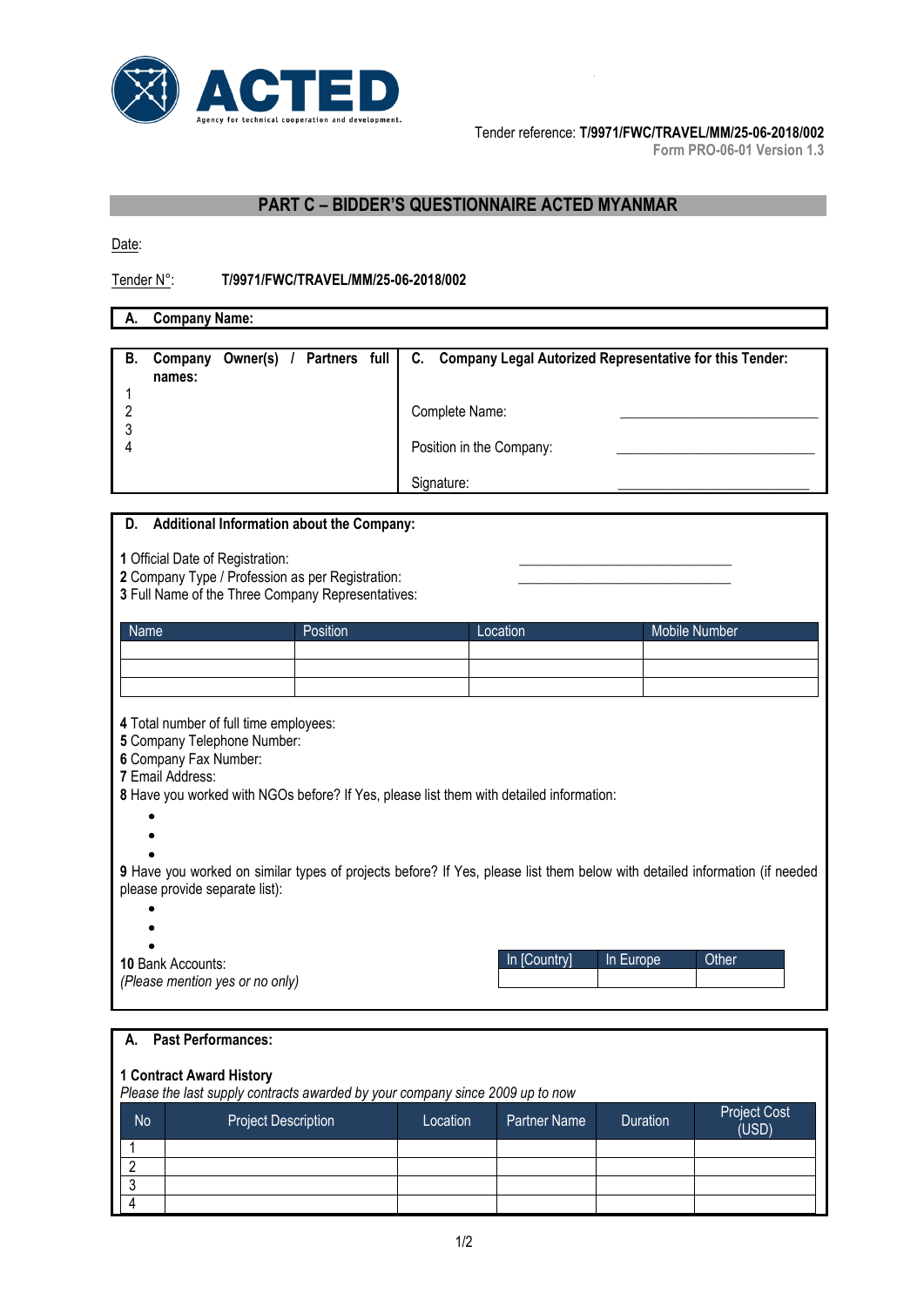

Tender reference: **T/9971/FWC/TRAVEL/MM/25-06-2018/002** 

**Form PRO-06-01 Version 1.3**

# **PART C – BIDDER'S QUESTIONNAIRE ACTED MYANMAR**

Date:

### Tender N°: **T/9971/FWC/TRAVEL/MM/25-06-2018/002**

**A. Company Name:**

| В. | Company<br>names: |  |  | Owner(s) / Partners full   C. Company Legal Autorized Representative for this Tender: |
|----|-------------------|--|--|---------------------------------------------------------------------------------------|
|    |                   |  |  | Complete Name:<br>Position in the Company:<br>Signature:                              |

### **D. Additional Information about the Company:**

**1** Official Date of Registration:

**2** Company Type / Profession as per Registration:

**3** Full Name of the Three Company Representatives:

| Name | Position | Location | Mobile Number |
|------|----------|----------|---------------|
|      |          |          |               |
|      |          |          |               |
|      |          |          |               |

**4** Total number of full time employees:

**5** Company Telephone Number:

**6** Company Fax Number:

**7** Email Address:

**8** Have you worked with NGOs before? If Yes, please list them with detailed information:

 $\bullet$ 

 $\bullet$  $\bullet$ 

**9** Have you worked on similar types of projects before? If Yes, please list them below with detailed information (if needed please provide separate list):

- $\bullet$
- $\epsilon$
- $\bullet$

```
10 Bank Accounts:
(Please mention yes or no only)
```

| In [Country] | In Europe | Other |
|--------------|-----------|-------|
|              |           |       |

| A. Past Performances: |  |
|-----------------------|--|

**1 Contract Award History** *Please the last supply contracts awarded by your company since 2009 up to now*

| No | Project Description | Location | Partner Name | <b>Duration</b> | <b>Project Cost</b><br>(USD) |
|----|---------------------|----------|--------------|-----------------|------------------------------|
|    |                     |          |              |                 |                              |
|    |                     |          |              |                 |                              |
|    |                     |          |              |                 |                              |
|    |                     |          |              |                 |                              |